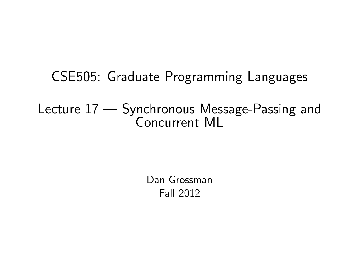# CSE505: Graduate Programming Languages

#### Lecture 17 — Synchronous Message-Passing and Concurrent ML

<span id="page-0-0"></span>Dan Grossman Fall 2012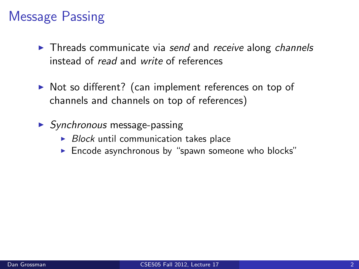# Message Passing

- $\blacktriangleright$  Threads communicate via send and receive along channels instead of read and write of references
- $\triangleright$  Not so different? (can implement references on top of channels and channels on top of references)
- $\triangleright$  Synchronous message-passing
	- $\triangleright$  Block until communication takes place
	- $\blacktriangleright$  Encode asynchronous by "spawn someone who blocks"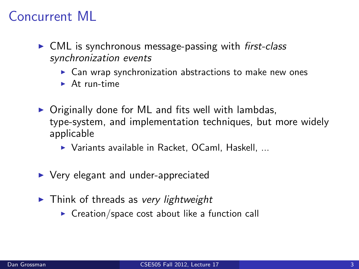# Concurrent ML

- $\triangleright$  CML is synchronous message-passing with first-class synchronization events
	- $\triangleright$  Can wrap synchronization abstractions to make new ones
	- $\blacktriangleright$  At run-time
- $\triangleright$  Originally done for ML and fits well with lambdas, type-system, and implementation techniques, but more widely applicable
	- $\triangleright$  Variants available in Racket, OCaml, Haskell, ...
- $\triangleright$  Very elegant and under-appreciated
- $\blacktriangleright$  Think of threads as very lightweight
	- $\triangleright$  Creation/space cost about like a function call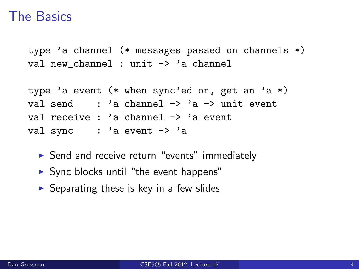#### The Basics

type 'a channel (\* messages passed on channels \*) val new\_channel : unit -> 'a channel

```
type 'a event (* when sync'ed on, get an 'a *)
val send : 'a channel \rightarrow 'a \rightarrow unit event
val receive : 'a channel -> 'a event
val sync : 'a event \rightarrow 'a
```
- $\triangleright$  Send and receive return "events" immediately
- $\triangleright$  Sync blocks until "the event happens"
- $\triangleright$  Separating these is key in a few slides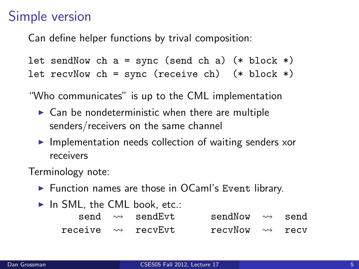#### Simple version

Can define helper functions by trival composition:

let sendNow ch  $a = sync$  (send ch  $a$ ) (\* block \*) let recvNow ch = sync (receive ch)  $(*$  block  $*)$ 

"Who communicates" is up to the CML implementation

- $\triangleright$  Can be nondeterministic when there are multiple senders/receivers on the same channel
- $\blacktriangleright$  Implementation needs collection of waiting senders xor receivers

Terminology note:

- $\blacktriangleright$  Function names are those in OCaml's Event library.
- $\blacktriangleright$  In SML, the CML book, etc.:

|  | $send \leadsto sendEvt$            | sendNow $\rightsquigarrow$ send |  |
|--|------------------------------------|---------------------------------|--|
|  | receive $\rightsquigarrow$ recvEvt | recyNow $\rightsquigarrow$ recy |  |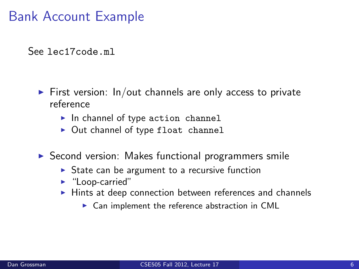#### Bank Account Example

See lec17code.ml

- $\triangleright$  First version: In/out channels are only access to private reference
	- $\blacktriangleright$  In channel of type action channel
	- $\triangleright$  Out channel of type float channel
- $\triangleright$  Second version: Makes functional programmers smile
	- $\triangleright$  State can be argument to a recursive function
	- $\blacktriangleright$  "Loop-carried"
	- $\blacktriangleright$  Hints at deep connection between references and channels
		- $\triangleright$  Can implement the reference abstraction in CML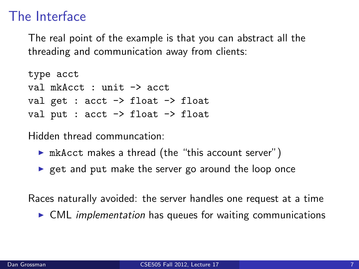#### The Interface

The real point of the example is that you can abstract all the threading and communication away from clients:

```
type acct
val mkAcct : unit -> acct
val get : acct -> float -> float
val put : acct \rightarrow float \rightarrow float
```
Hidden thread communcation:

- $\triangleright$  mkAcct makes a thread (the "this account server")
- $\triangleright$  get and put make the server go around the loop once

Races naturally avoided: the server handles one request at a time

 $\triangleright$  CML implementation has queues for waiting communications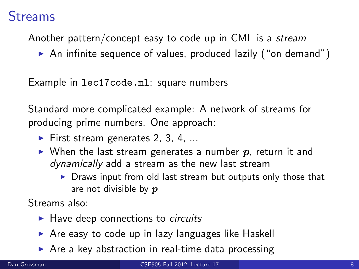#### Streams

Another pattern/concept easy to code up in CML is a stream

 $\triangleright$  An infinite sequence of values, produced lazily ("on demand")

Example in lec17code.ml: square numbers

Standard more complicated example: A network of streams for producing prime numbers. One approach:

- $\blacktriangleright$  First stream generates 2, 3, 4, ...
- $\triangleright$  When the last stream generates a number p, return it and dynamically add a stream as the new last stream
	- $\triangleright$  Draws input from old last stream but outputs only those that are not divisible by  $p$

Streams also:

- $\blacktriangleright$  Have deep connections to *circuits*
- $\triangleright$  Are easy to code up in lazy languages like Haskell
- $\triangleright$  Are a key abstraction in real-time data processing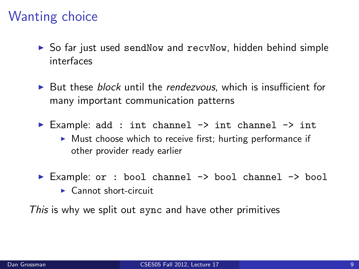#### Wanting choice

- $\triangleright$  So far just used sendNow and recvNow, hidden behind simple interfaces
- $\triangleright$  But these *block* until the *rendezvous*, which is insufficient for many important communication patterns
- Example: add : int channel  $\rightarrow$  int channel  $\rightarrow$  int
	- $\triangleright$  Must choose which to receive first; hurting performance if other provider ready earlier
- ► Example: or : bool channel -> bool channel -> bool
	- $\blacktriangleright$  Cannot short-circuit

This is why we split out sync and have other primitives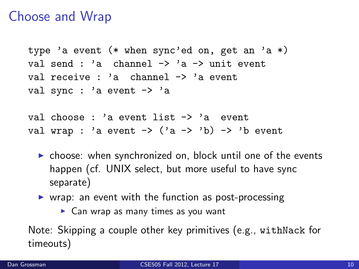#### Choose and Wrap

```
type 'a event (* when sync'ed on, get an 'a *)
val send : 'a channel \rightarrow 'a \rightarrow unit event
val receive : 'a channel -> 'a event
val sync : 'a event -> 'a
```
val choose : 'a event list  $\rightarrow$  'a event val wrap : 'a event  $\rightarrow$  ('a  $\rightarrow$  'b)  $\rightarrow$  'b event

- $\triangleright$  choose: when synchronized on, block until one of the events happen (cf. UNIX select, but more useful to have sync separate)
- $\triangleright$  wrap: an event with the function as post-processing
	- $\triangleright$  Can wrap as many times as you want

Note: Skipping a couple other key primitives (e.g., withNack for timeouts)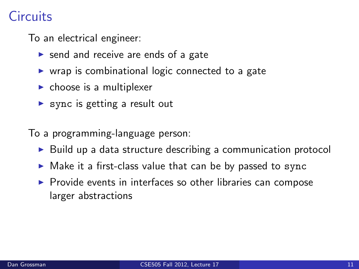# **Circuits**

To an electrical engineer:

- $\triangleright$  send and receive are ends of a gate
- $\triangleright$  wrap is combinational logic connected to a gate
- $\blacktriangleright$  choose is a multiplexer
- $\triangleright$  sync is getting a result out

To a programming-language person:

- $\triangleright$  Build up a data structure describing a communication protocol
- $\triangleright$  Make it a first-class value that can be by passed to sync
- $\triangleright$  Provide events in interfaces so other libraries can compose larger abstractions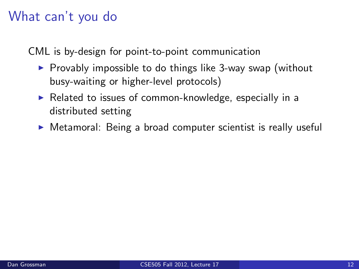# What can't you do

CML is by-design for point-to-point communication

- $\triangleright$  Provably impossible to do things like 3-way swap (without busy-waiting or higher-level protocols)
- $\triangleright$  Related to issues of common-knowledge, especially in a distributed setting
- $\triangleright$  Metamoral: Being a broad computer scientist is really useful